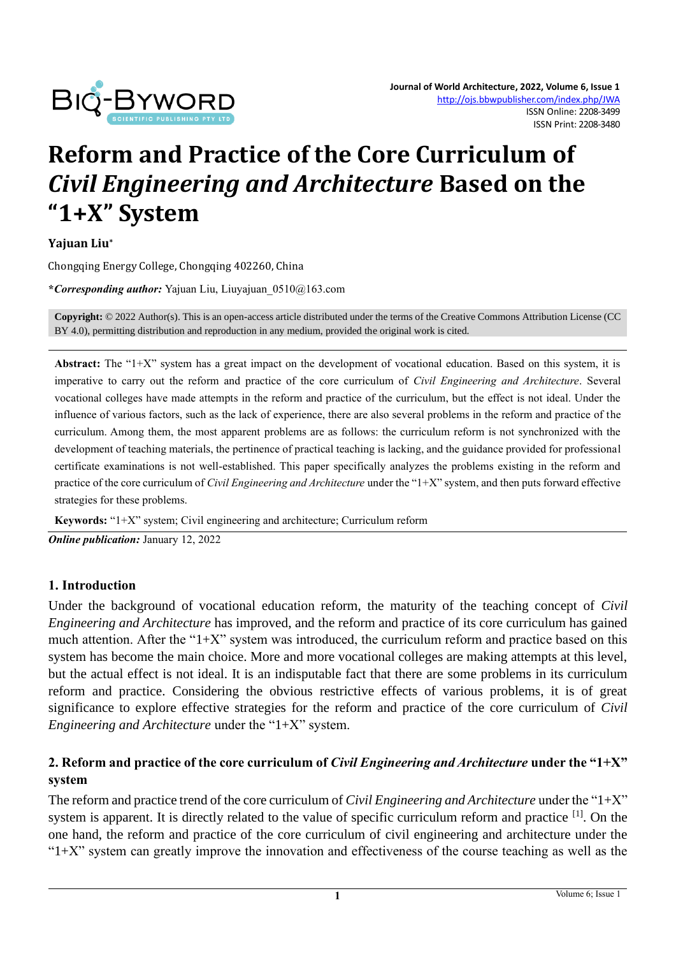

# **Reform and Practice of the Core Curriculum of**  *Civil Engineering and Architecture* **Based on the "1+X" System**

**Yajuan Liu\***

Chongqing Energy College, Chongqing 402260, China

**\****Corresponding author:* Yajuan Liu[, Liuyajuan\\_0510@163.com](mailto:Liuyajuan_0510@163.com)

**Copyright:** © 2022 Author(s). This is an open-access article distributed under the terms of th[e Creative Commons Attribution License \(CC](https://creativecommons.org/licenses/by/4.0/)  [BY 4.0\),](https://creativecommons.org/licenses/by/4.0/) permitting distribution and reproduction in any medium, provided the original work is cited.

Abstract: The "1+X" system has a great impact on the development of vocational education. Based on this system, it is imperative to carry out the reform and practice of the core curriculum of *Civil Engineering and Architecture*. Several vocational colleges have made attempts in the reform and practice of the curriculum, but the effect is not ideal. Under the influence of various factors, such as the lack of experience, there are also several problems in the reform and practice of the curriculum. Among them, the most apparent problems are as follows: the curriculum reform is not synchronized with the development of teaching materials, the pertinence of practical teaching is lacking, and the guidance provided for professional certificate examinations is not well-established. This paper specifically analyzes the problems existing in the reform and practice of the core curriculum of *Civil Engineering and Architecture* under the "1+X" system, and then puts forward effective strategies for these problems.

**Keywords:** "1+X" system; Civil engineering and architecture; Curriculum reform

*Online publication:* January 12, 2022

# **1. Introduction**

Under the background of vocational education reform, the maturity of the teaching concept of *Civil Engineering and Architecture* has improved, and the reform and practice of its core curriculum has gained much attention. After the " $1+X$ " system was introduced, the curriculum reform and practice based on this system has become the main choice. More and more vocational colleges are making attempts at this level, but the actual effect is not ideal. It is an indisputable fact that there are some problems in its curriculum reform and practice. Considering the obvious restrictive effects of various problems, it is of great significance to explore effective strategies for the reform and practice of the core curriculum of *Civil Engineering and Architecture* under the "1+X" system.

# **2. Reform and practice of the core curriculum of** *Civil Engineering and Architecture* **under the "1+X" system**

The reform and practice trend of the core curriculum of *Civil Engineering and Architecture* under the "1+X" system is apparent. It is directly related to the value of specific curriculum reform and practice <sup>[1]</sup>. On the one hand, the reform and practice of the core curriculum of civil engineering and architecture under the " $1+X$ " system can greatly improve the innovation and effectiveness of the course teaching as well as the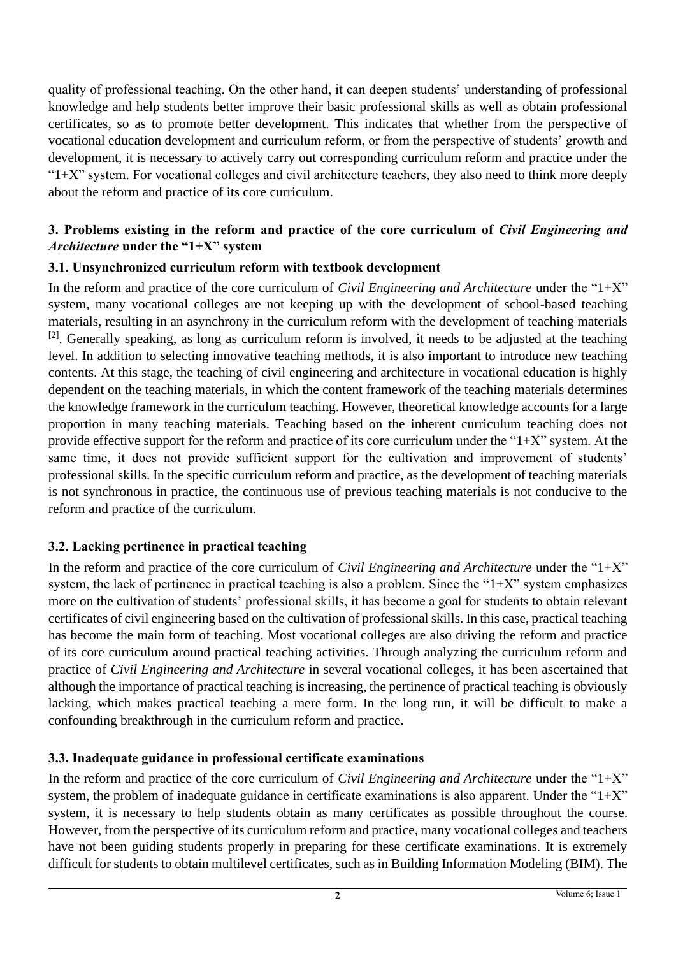quality of professional teaching. On the other hand, it can deepen students' understanding of professional knowledge and help students better improve their basic professional skills as well as obtain professional certificates, so as to promote better development. This indicates that whether from the perspective of vocational education development and curriculum reform, or from the perspective of students' growth and development, it is necessary to actively carry out corresponding curriculum reform and practice under the " $1+X$ " system. For vocational colleges and civil architecture teachers, they also need to think more deeply about the reform and practice of its core curriculum.

# **3. Problems existing in the reform and practice of the core curriculum of** *Civil Engineering and Architecture* **under the "1+X" system**

# **3.1. Unsynchronized curriculum reform with textbook development**

In the reform and practice of the core curriculum of *Civil Engineering and Architecture* under the "1+X" system, many vocational colleges are not keeping up with the development of school-based teaching materials, resulting in an asynchrony in the curriculum reform with the development of teaching materials  $[2]$ . Generally speaking, as long as curriculum reform is involved, it needs to be adjusted at the teaching level. In addition to selecting innovative teaching methods, it is also important to introduce new teaching contents. At this stage, the teaching of civil engineering and architecture in vocational education is highly dependent on the teaching materials, in which the content framework of the teaching materials determines the knowledge framework in the curriculum teaching. However, theoretical knowledge accounts for a large proportion in many teaching materials. Teaching based on the inherent curriculum teaching does not provide effective support for the reform and practice of its core curriculum under the " $1+X$ " system. At the same time, it does not provide sufficient support for the cultivation and improvement of students' professional skills. In the specific curriculum reform and practice, as the development of teaching materials is not synchronous in practice, the continuous use of previous teaching materials is not conducive to the reform and practice of the curriculum.

# **3.2. Lacking pertinence in practical teaching**

In the reform and practice of the core curriculum of *Civil Engineering and Architecture* under the "1+X" system, the lack of pertinence in practical teaching is also a problem. Since the " $1+X$ " system emphasizes more on the cultivation of students' professional skills, it has become a goal for students to obtain relevant certificates of civil engineering based on the cultivation of professional skills. In this case, practical teaching has become the main form of teaching. Most vocational colleges are also driving the reform and practice of its core curriculum around practical teaching activities. Through analyzing the curriculum reform and practice of *Civil Engineering and Architecture* in several vocational colleges, it has been ascertained that although the importance of practical teaching is increasing, the pertinence of practical teaching is obviously lacking, which makes practical teaching a mere form. In the long run, it will be difficult to make a confounding breakthrough in the curriculum reform and practice.

# **3.3. Inadequate guidance in professional certificate examinations**

In the reform and practice of the core curriculum of *Civil Engineering and Architecture* under the "1+X" system, the problem of inadequate guidance in certificate examinations is also apparent. Under the " $1+X$ " system, it is necessary to help students obtain as many certificates as possible throughout the course. However, from the perspective of its curriculum reform and practice, many vocational colleges and teachers have not been guiding students properly in preparing for these certificate examinations. It is extremely difficult for students to obtain multilevel certificates, such as in Building Information Modeling (BIM). The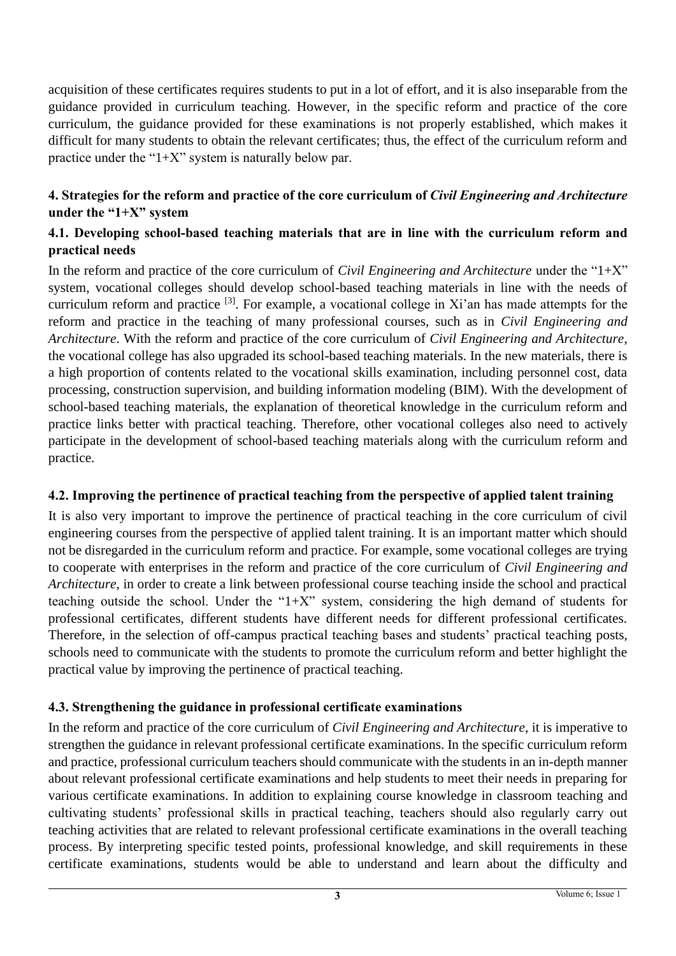acquisition of these certificates requires students to put in a lot of effort, and it is also inseparable from the guidance provided in curriculum teaching. However, in the specific reform and practice of the core curriculum, the guidance provided for these examinations is not properly established, which makes it difficult for many students to obtain the relevant certificates; thus, the effect of the curriculum reform and practice under the " $1+X$ " system is naturally below par.

# **4. Strategies for the reform and practice of the core curriculum of** *Civil Engineering and Architecture* **under the "1+X" system**

# **4.1. Developing school-based teaching materials that are in line with the curriculum reform and practical needs**

In the reform and practice of the core curriculum of *Civil Engineering and Architecture* under the "1+X" system, vocational colleges should develop school-based teaching materials in line with the needs of curriculum reform and practice [3]. For example, a vocational college in Xi'an has made attempts for the reform and practice in the teaching of many professional courses, such as in *Civil Engineering and Architecture*. With the reform and practice of the core curriculum of *Civil Engineering and Architecture*, the vocational college has also upgraded its school-based teaching materials. In the new materials, there is a high proportion of contents related to the vocational skills examination, including personnel cost, data processing, construction supervision, and building information modeling (BIM). With the development of school-based teaching materials, the explanation of theoretical knowledge in the curriculum reform and practice links better with practical teaching. Therefore, other vocational colleges also need to actively participate in the development of school-based teaching materials along with the curriculum reform and practice.

# **4.2. Improving the pertinence of practical teaching from the perspective of applied talent training**

It is also very important to improve the pertinence of practical teaching in the core curriculum of civil engineering courses from the perspective of applied talent training. It is an important matter which should not be disregarded in the curriculum reform and practice. For example, some vocational colleges are trying to cooperate with enterprises in the reform and practice of the core curriculum of *Civil Engineering and Architecture*, in order to create a link between professional course teaching inside the school and practical teaching outside the school. Under the " $1+X$ " system, considering the high demand of students for professional certificates, different students have different needs for different professional certificates. Therefore, in the selection of off-campus practical teaching bases and students' practical teaching posts, schools need to communicate with the students to promote the curriculum reform and better highlight the practical value by improving the pertinence of practical teaching.

# **4.3. Strengthening the guidance in professional certificate examinations**

In the reform and practice of the core curriculum of *Civil Engineering and Architecture*, it is imperative to strengthen the guidance in relevant professional certificate examinations. In the specific curriculum reform and practice, professional curriculum teachers should communicate with the students in an in-depth manner about relevant professional certificate examinations and help students to meet their needs in preparing for various certificate examinations. In addition to explaining course knowledge in classroom teaching and cultivating students' professional skills in practical teaching, teachers should also regularly carry out teaching activities that are related to relevant professional certificate examinations in the overall teaching process. By interpreting specific tested points, professional knowledge, and skill requirements in these certificate examinations, students would be able to understand and learn about the difficulty and